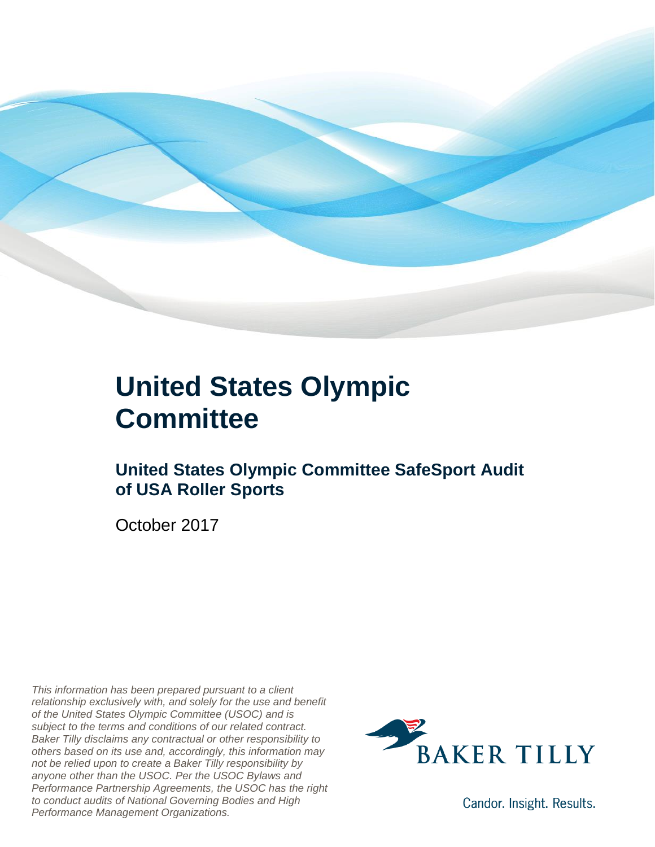

### **United States Olympic Committee**

### **United States Olympic Committee SafeSport Audit of USA Roller Sports**

October 2017

*This information has been prepared pursuant to a client relationship exclusively with, and solely for the use and benefit of the United States Olympic Committee (USOC) and is subject to the terms and conditions of our related contract. Baker Tilly disclaims any contractual or other responsibility to others based on its use and, accordingly, this information may not be relied upon to create a Baker Tilly responsibility by anyone other than the USOC. Per the USOC Bylaws and Performance Partnership Agreements, the USOC has the right to conduct audits of National Governing Bodies and High Performance Management Organizations.*



Candor. Insight. Results.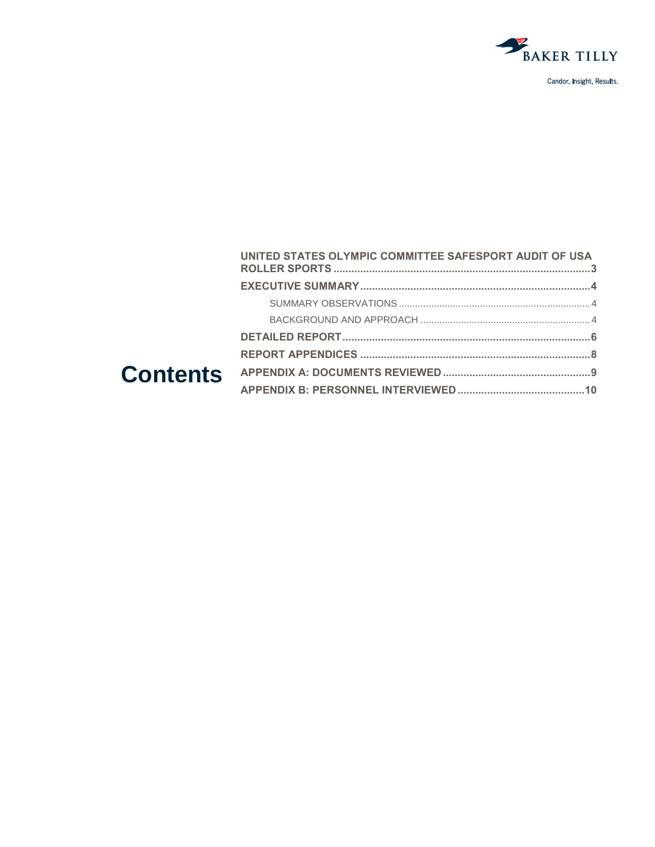

| UNITED STATES OLYMPIC COMMITTEE SAFESPORT AUDIT OF USA |  |
|--------------------------------------------------------|--|
|                                                        |  |
|                                                        |  |
|                                                        |  |
|                                                        |  |
|                                                        |  |
|                                                        |  |
|                                                        |  |
|                                                        |  |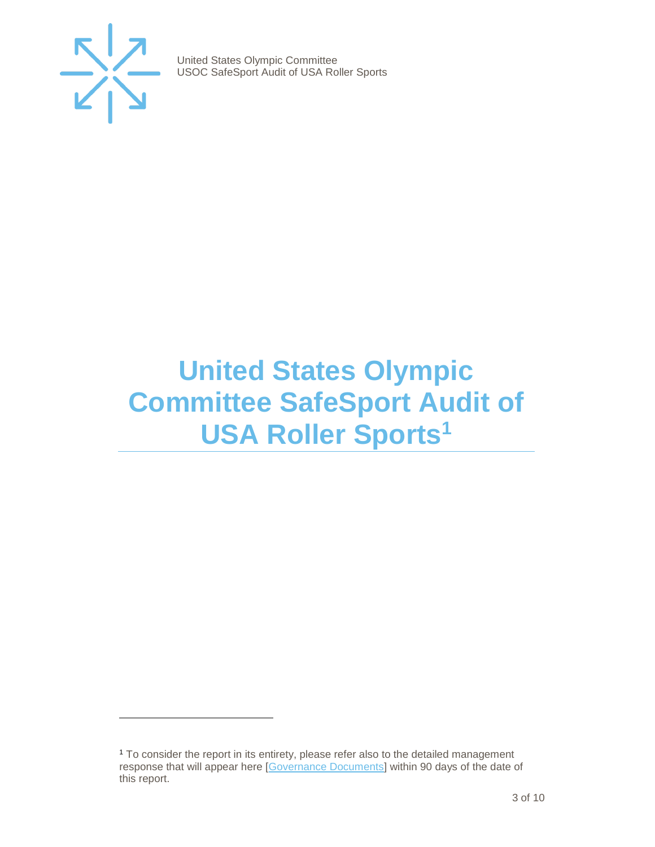

 $\overline{a}$ 

United States Olympic Committee USOC SafeSport Audit of USA Roller Sports

## <span id="page-2-0"></span>**United States Olympic Committee SafeSport Audit of USA Roller Sports<sup>1</sup>**

<sup>&</sup>lt;sup>1</sup> To consider the report in its entirety, please refer also to the detailed management response that will appear here [\[Governance Documents\]](https://www.teamusa.org/Footer/Legal/Governance-Documents) within 90 days of the date of this report.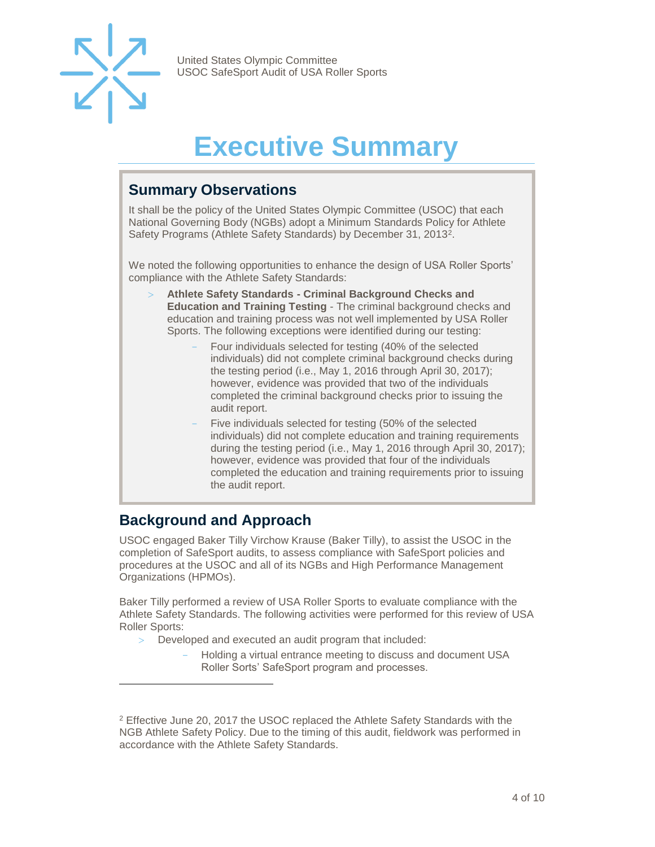

## **Executive Summary**

#### <span id="page-3-1"></span><span id="page-3-0"></span>**Summary Observations**

It shall be the policy of the United States Olympic Committee (USOC) that each National Governing Body (NGBs) adopt a Minimum Standards Policy for Athlete Safety Programs (Athlete Safety Standards) by December 31, 2013<sup>2</sup>.

We noted the following opportunities to enhance the design of USA Roller Sports' compliance with the Athlete Safety Standards:

- **Athlete Safety Standards - Criminal Background Checks and Education and Training Testing** - The criminal background checks and education and training process was not well implemented by USA Roller Sports. The following exceptions were identified during our testing:
	- Four individuals selected for testing (40% of the selected individuals) did not complete criminal background checks during the testing period (i.e., May 1, 2016 through April 30, 2017); however, evidence was provided that two of the individuals completed the criminal background checks prior to issuing the audit report.
	- Five individuals selected for testing (50% of the selected individuals) did not complete education and training requirements during the testing period (i.e., May 1, 2016 through April 30, 2017); however, evidence was provided that four of the individuals completed the education and training requirements prior to issuing the audit report.

#### <span id="page-3-2"></span>**Background and Approach**

 $\overline{a}$ 

USOC engaged Baker Tilly Virchow Krause (Baker Tilly), to assist the USOC in the completion of SafeSport audits, to assess compliance with SafeSport policies and procedures at the USOC and all of its NGBs and High Performance Management Organizations (HPMOs).

Baker Tilly performed a review of USA Roller Sports to evaluate compliance with the Athlete Safety Standards. The following activities were performed for this review of USA Roller Sports:

- Developed and executed an audit program that included:
	- Holding a virtual entrance meeting to discuss and document USA Roller Sorts' SafeSport program and processes.

<sup>&</sup>lt;sup>2</sup> Effective June 20, 2017 the USOC replaced the Athlete Safety Standards with the NGB Athlete Safety Policy. Due to the timing of this audit, fieldwork was performed in accordance with the Athlete Safety Standards.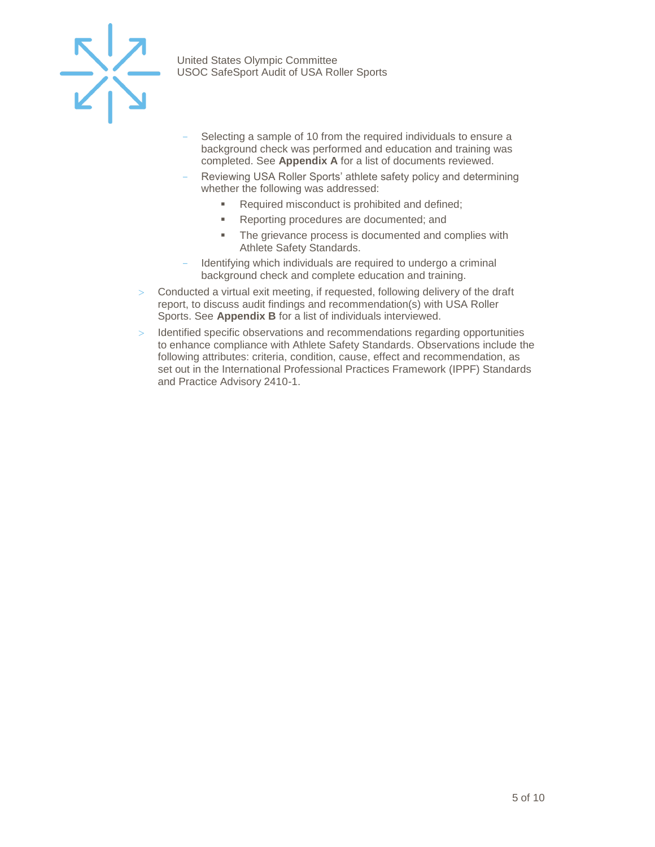

- Selecting a sample of 10 from the required individuals to ensure a background check was performed and education and training was completed. See **Appendix A** for a list of documents reviewed.
- Reviewing USA Roller Sports' athlete safety policy and determining whether the following was addressed:
	- Required misconduct is prohibited and defined;
	- Reporting procedures are documented; and
	- **The grievance process is documented and complies with** Athlete Safety Standards.
- Identifying which individuals are required to undergo a criminal background check and complete education and training.
- $>$  Conducted a virtual exit meeting, if requested, following delivery of the draft report, to discuss audit findings and recommendation(s) with USA Roller Sports. See **Appendix B** for a list of individuals interviewed.
- $>$  Identified specific observations and recommendations regarding opportunities to enhance compliance with Athlete Safety Standards. Observations include the following attributes: criteria, condition, cause, effect and recommendation, as set out in the International Professional Practices Framework (IPPF) Standards and Practice Advisory 2410-1.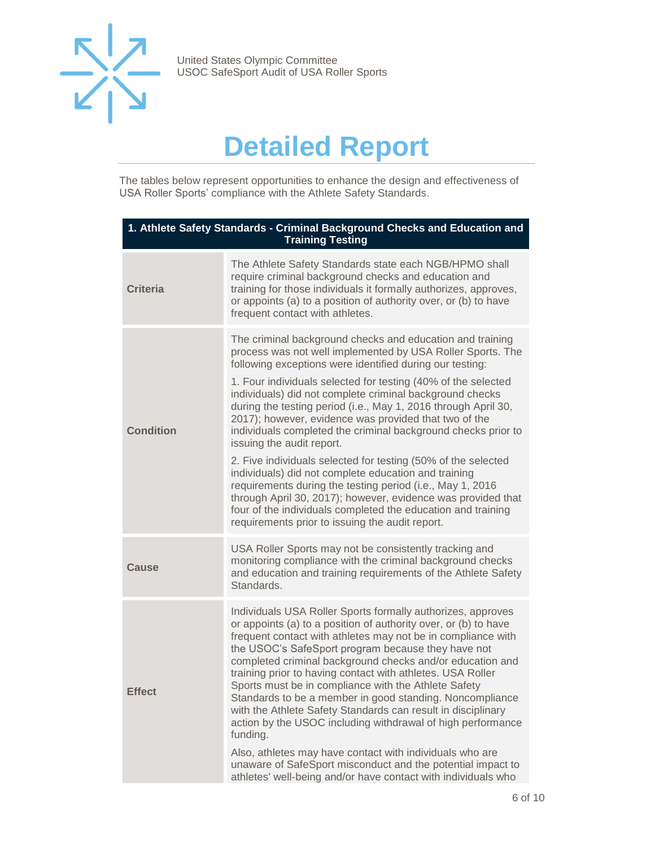

## **Detailed Report**

<span id="page-5-0"></span>The tables below represent opportunities to enhance the design and effectiveness of USA Roller Sports' compliance with the Athlete Safety Standards.

| 1. Athlete Safety Standards - Criminal Background Checks and Education and<br><b>Training Testing</b> |                                                                                                                                                                                                                                                                                                                                                                                                                                                                                                                                                                                                                                                                                                                                                                                                                                                                                                                    |  |
|-------------------------------------------------------------------------------------------------------|--------------------------------------------------------------------------------------------------------------------------------------------------------------------------------------------------------------------------------------------------------------------------------------------------------------------------------------------------------------------------------------------------------------------------------------------------------------------------------------------------------------------------------------------------------------------------------------------------------------------------------------------------------------------------------------------------------------------------------------------------------------------------------------------------------------------------------------------------------------------------------------------------------------------|--|
| <b>Criteria</b>                                                                                       | The Athlete Safety Standards state each NGB/HPMO shall<br>require criminal background checks and education and<br>training for those individuals it formally authorizes, approves,<br>or appoints (a) to a position of authority over, or (b) to have<br>frequent contact with athletes.                                                                                                                                                                                                                                                                                                                                                                                                                                                                                                                                                                                                                           |  |
| <b>Condition</b>                                                                                      | The criminal background checks and education and training<br>process was not well implemented by USA Roller Sports. The<br>following exceptions were identified during our testing:<br>1. Four individuals selected for testing (40% of the selected<br>individuals) did not complete criminal background checks<br>during the testing period (i.e., May 1, 2016 through April 30,<br>2017); however, evidence was provided that two of the<br>individuals completed the criminal background checks prior to<br>issuing the audit report.<br>2. Five individuals selected for testing (50% of the selected<br>individuals) did not complete education and training<br>requirements during the testing period (i.e., May 1, 2016<br>through April 30, 2017); however, evidence was provided that<br>four of the individuals completed the education and training<br>requirements prior to issuing the audit report. |  |
| <b>Cause</b>                                                                                          | USA Roller Sports may not be consistently tracking and<br>monitoring compliance with the criminal background checks<br>and education and training requirements of the Athlete Safety<br>Standards.                                                                                                                                                                                                                                                                                                                                                                                                                                                                                                                                                                                                                                                                                                                 |  |
| <b>Effect</b>                                                                                         | Individuals USA Roller Sports formally authorizes, approves<br>or appoints (a) to a position of authority over, or (b) to have<br>frequent contact with athletes may not be in compliance with<br>the USOC's SafeSport program because they have not<br>completed criminal background checks and/or education and<br>training prior to having contact with athletes. USA Roller<br>Sports must be in compliance with the Athlete Safety<br>Standards to be a member in good standing. Noncompliance<br>with the Athlete Safety Standards can result in disciplinary<br>action by the USOC including withdrawal of high performance<br>funding.<br>Also, athletes may have contact with individuals who are<br>unaware of SafeSport misconduct and the potential impact to<br>athletes' well-being and/or have contact with individuals who                                                                         |  |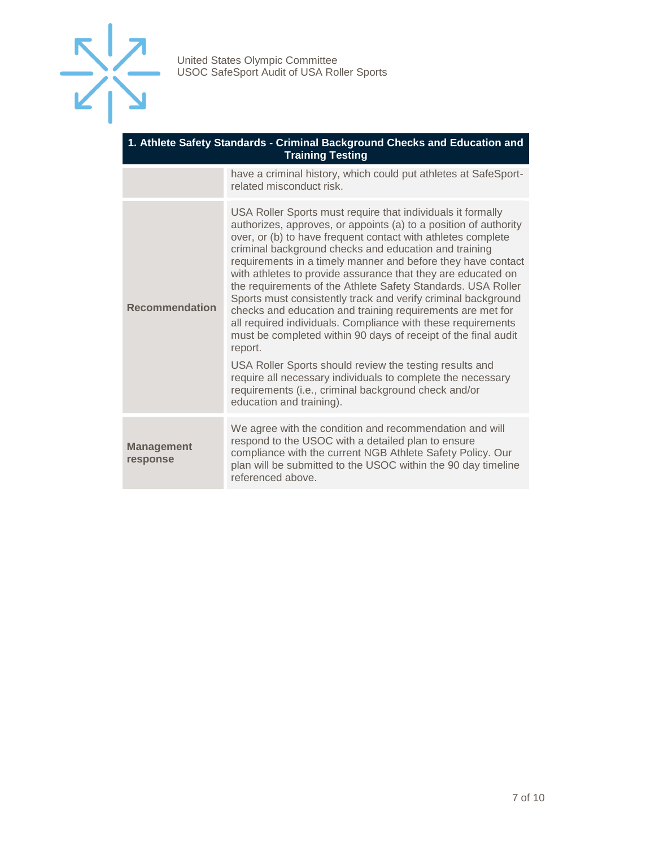

| 1. Athlete Safety Standards - Criminal Background Checks and Education and<br><b>Training Testing</b> |                                                                                                                                                                                                                                                                                                                                                                                                                                                                                                                                                                                                                                                                                                                                                                                                                                                                                                                                                    |  |
|-------------------------------------------------------------------------------------------------------|----------------------------------------------------------------------------------------------------------------------------------------------------------------------------------------------------------------------------------------------------------------------------------------------------------------------------------------------------------------------------------------------------------------------------------------------------------------------------------------------------------------------------------------------------------------------------------------------------------------------------------------------------------------------------------------------------------------------------------------------------------------------------------------------------------------------------------------------------------------------------------------------------------------------------------------------------|--|
|                                                                                                       | have a criminal history, which could put athletes at SafeSport-<br>related misconduct risk.                                                                                                                                                                                                                                                                                                                                                                                                                                                                                                                                                                                                                                                                                                                                                                                                                                                        |  |
| <b>Recommendation</b>                                                                                 | USA Roller Sports must require that individuals it formally<br>authorizes, approves, or appoints (a) to a position of authority<br>over, or (b) to have frequent contact with athletes complete<br>criminal background checks and education and training<br>requirements in a timely manner and before they have contact<br>with athletes to provide assurance that they are educated on<br>the requirements of the Athlete Safety Standards. USA Roller<br>Sports must consistently track and verify criminal background<br>checks and education and training requirements are met for<br>all required individuals. Compliance with these requirements<br>must be completed within 90 days of receipt of the final audit<br>report.<br>USA Roller Sports should review the testing results and<br>require all necessary individuals to complete the necessary<br>requirements (i.e., criminal background check and/or<br>education and training). |  |
| <b>Management</b><br>response                                                                         | We agree with the condition and recommendation and will<br>respond to the USOC with a detailed plan to ensure<br>compliance with the current NGB Athlete Safety Policy. Our<br>plan will be submitted to the USOC within the 90 day timeline<br>referenced above.                                                                                                                                                                                                                                                                                                                                                                                                                                                                                                                                                                                                                                                                                  |  |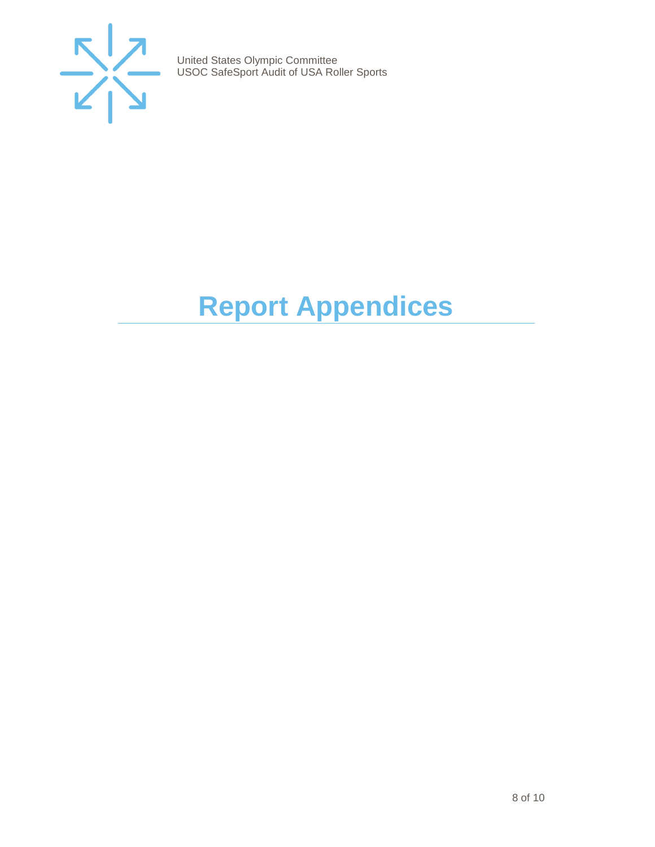

# <span id="page-7-0"></span>**Report Appendices**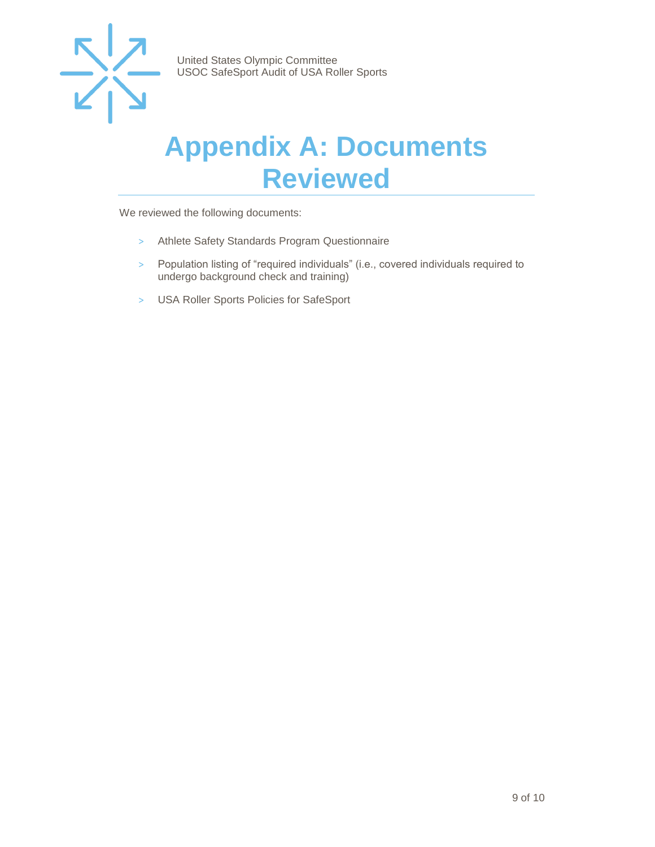

### <span id="page-8-0"></span>**Appendix A: Documents Reviewed**

We reviewed the following documents:

- > Athlete Safety Standards Program Questionnaire
- > Population listing of "required individuals" (i.e., covered individuals required to undergo background check and training)
- > USA Roller Sports Policies for SafeSport